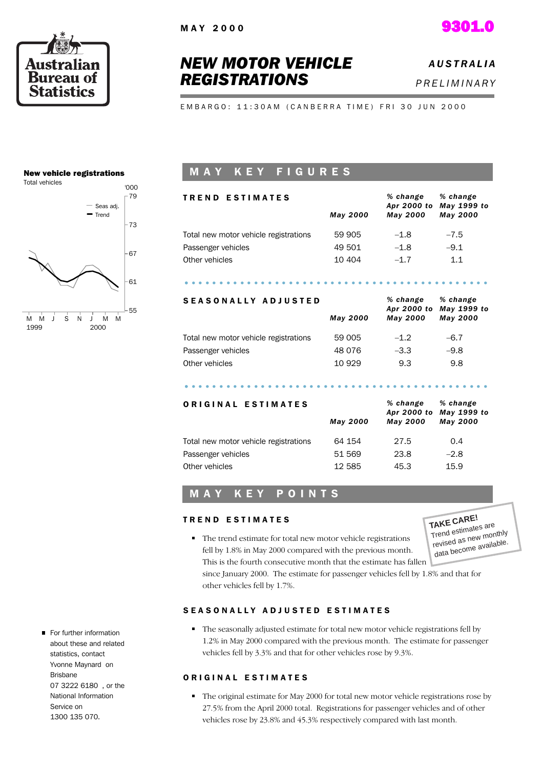



## *NEW MOTOR VEHICLE REGISTRATIONS*

*A U S T R A L I A P R E L I M I N A R Y*

EMBARGO: 11:30AM (CANBERRA TIME) FRI 30 JUN 2000

#### New vehicle registrations



## MAY KEY FIGURES

| <b>TREND ESTIMATES</b>                |                 | % change<br>Apr 2000 to | $%$ change<br>May 1999 to |  |
|---------------------------------------|-----------------|-------------------------|---------------------------|--|
|                                       | <b>May 2000</b> | <b>May 2000</b>         | <b>May 2000</b>           |  |
| Total new motor vehicle registrations | 59 905          | $-1.8$                  | $-7.5$                    |  |
| Passenger vehicles                    | 49 501          | $-1.8$                  | $-9.1$                    |  |
| Other vehicles                        | 10 404          | $-1.7$                  | 1.1                       |  |
|                                       |                 |                         |                           |  |
|                                       |                 |                         |                           |  |

## S E A S O N A L L Y A D J U S T E D

| <b>SEASONALLY ADJUSTED</b>            |          | % change<br>Apr 2000 to | % change<br>May 1999 to |  |
|---------------------------------------|----------|-------------------------|-------------------------|--|
|                                       | May 2000 | <b>May 2000</b>         | <b>May 2000</b>         |  |
| Total new motor vehicle registrations | 59 005   | $-1.2$                  | $-6.7$                  |  |
| Passenger vehicles                    | 48 0 76  | $-3.3$                  | $-9.8$                  |  |
| Other vehicles                        | 10 929   | 9.3                     | 9.8                     |  |
|                                       |          |                         |                         |  |
|                                       |          |                         |                         |  |

| ORIGINAL ESTIMATES                    | <b>May 2000</b> | % change<br><b>May 2000</b> | % change<br>Apr 2000 to May 1999 to<br>May 2000 |
|---------------------------------------|-----------------|-----------------------------|-------------------------------------------------|
| Total new motor vehicle registrations | 64 154          | 27.5                        | 0.4                                             |
| Passenger vehicles                    | 51 569          | 23.8                        | $-2.8$                                          |
| Other vehicles                        | 12 585          | 45.3                        | 15.9                                            |

## M A Y K E Y P O I N T S

#### TREND ESTIMATES

**TAKE CARE!** Trend estimates are revised as new monthly data become available.

• The trend estimate for total new motor vehicle registrations fell by 1.8% in May 2000 compared with the previous month. This is the fourth consecutive month that the estimate has fallen

since January 2000. The estimate for passenger vehicles fell by 1.8% and that for other vehicles fell by 1.7%.

#### SEASONALLY ADJUSTED ESTIMATES

The seasonally adjusted estimate for total new motor vehicle registrations fell by 1.2% in May 2000 compared with the previous month. The estimate for passenger vehicles fell by 3.3% and that for other vehicles rose by 9.3%.

#### ORIGINAL ESTIMATES

- The original estimate for May 2000 for total new motor vehicle registrations rose by 27.5% from the April 2000 total. Registrations for passenger vehicles and of other vehicles rose by 23.8% and 45.3% respectively compared with last month.
- For further information about these and related statistics, contact Yvonne Maynard on Brisbane 07 3222 6180 , or the National Information Service on 1300 135 070.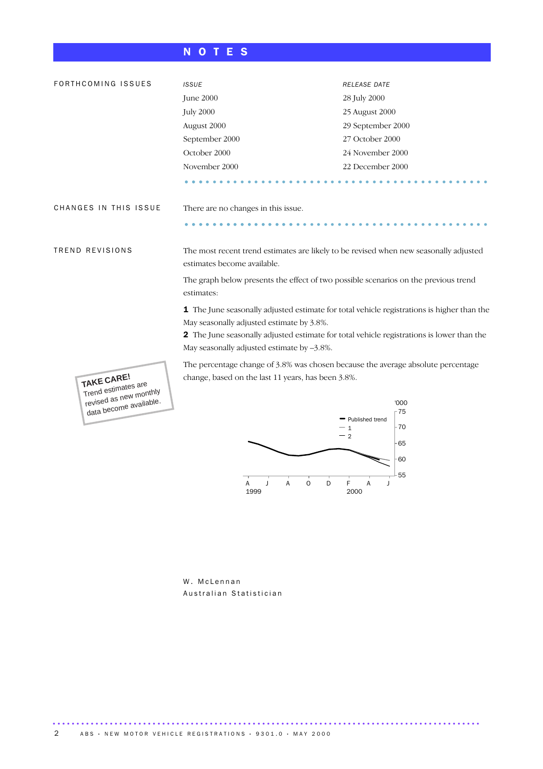## N O T E S

| FORTHCOMING ISSUES                               | <b>ISSUE</b>                                                                                                                            | RELEASE DATE             |  |  |  |
|--------------------------------------------------|-----------------------------------------------------------------------------------------------------------------------------------------|--------------------------|--|--|--|
|                                                  | <b>June 2000</b>                                                                                                                        | 28 July 2000             |  |  |  |
|                                                  | <b>July 2000</b>                                                                                                                        | 25 August 2000           |  |  |  |
|                                                  | August 2000                                                                                                                             | 29 September 2000        |  |  |  |
|                                                  | September 2000                                                                                                                          | 27 October 2000          |  |  |  |
|                                                  | October 2000                                                                                                                            | 24 November 2000         |  |  |  |
|                                                  | November 2000                                                                                                                           | 22 December 2000         |  |  |  |
|                                                  |                                                                                                                                         |                          |  |  |  |
| CHANGES IN THIS ISSUE                            | There are no changes in this issue.                                                                                                     |                          |  |  |  |
|                                                  |                                                                                                                                         |                          |  |  |  |
| TREND REVISIONS                                  | The most recent trend estimates are likely to be revised when new seasonally adjusted<br>estimates become available.                    |                          |  |  |  |
|                                                  | The graph below presents the effect of two possible scenarios on the previous trend<br>estimates:                                       |                          |  |  |  |
|                                                  | 1 The June seasonally adjusted estimate for total vehicle registrations is higher than the<br>May seasonally adjusted estimate by 3.8%. |                          |  |  |  |
|                                                  | 2 The June seasonally adjusted estimate for total vehicle registrations is lower than the                                               |                          |  |  |  |
|                                                  | May seasonally adjusted estimate by -3.8%.                                                                                              |                          |  |  |  |
| TAKE CARE!<br>Trend estimates are                | The percentage change of 3.8% was chosen because the average absolute percentage<br>change, based on the last 11 years, has been 3.8%.  |                          |  |  |  |
| revised as new monthly<br>data become available. |                                                                                                                                         | '000                     |  |  |  |
|                                                  |                                                                                                                                         | $-75$<br>Published trend |  |  |  |
|                                                  |                                                                                                                                         | 70<br>$\mathbf{1}$       |  |  |  |

 $\overline{\phantom{1}}$ 55 60  $-65$ 

2

 $\overrightarrow{F}$ <br>2000

A J

A O D

W. McLennan Australian Statistician

..........................................................................................

A 1999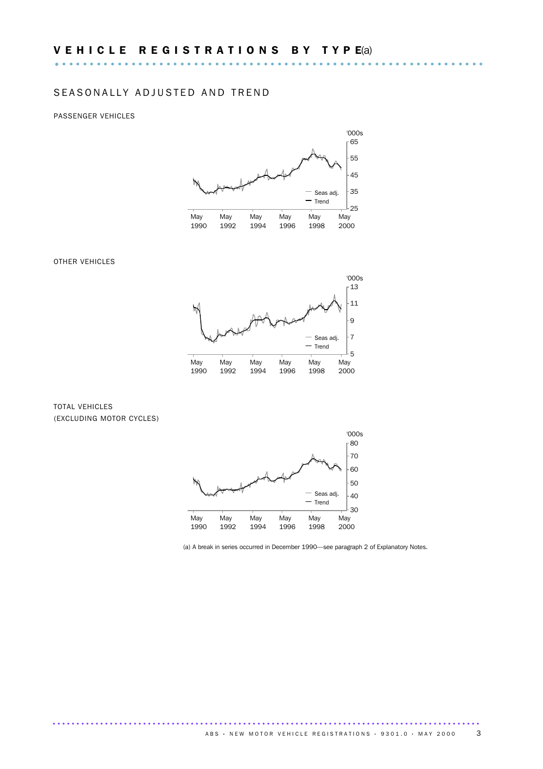### SEASONALLY ADJUSTED AND TREND

#### PASSENGER VEHICLES



#### OTHER VEHICLES



#### TOTAL VEHICLES (EXCLUDING MOTOR CYCLES)



(a) A break in series occurred in December 1990—see paragraph 2 of Explanatory Notes.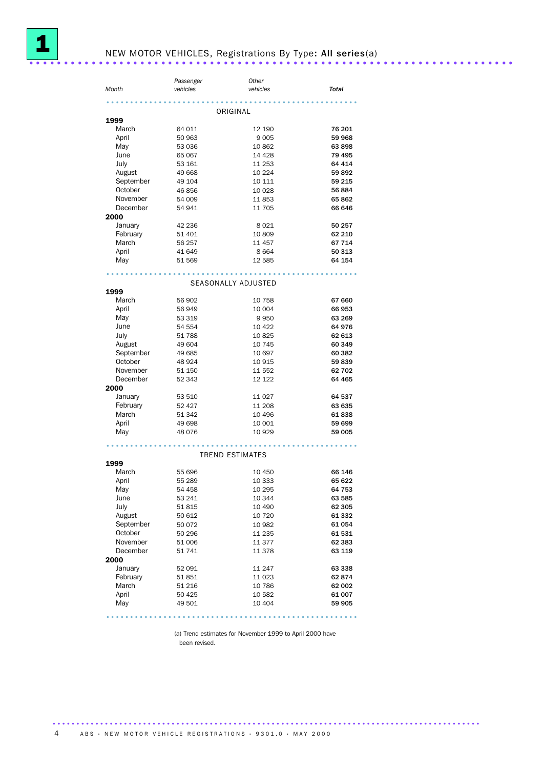

## NEW MOTOR VEHICLES, Registrations By Type: All series(a) ......................................................................

|           | Passenger     | Other                  |         |
|-----------|---------------|------------------------|---------|
| Month     | vehicles      | vehicles               | Total   |
|           |               |                        |         |
|           |               | <b>************</b>    |         |
|           |               | ORIGINAL               |         |
| 1999      |               |                        |         |
| March     | 64 011        | 12 190                 | 76 201  |
| April     | 50 963        | 9 0 0 5                | 59 968  |
| May       | 53 036        | 10862                  | 63 898  |
| June      | 65 067        | 14 4 28                | 79 495  |
|           |               |                        | 64 414  |
| July      | 53 161        | 11 253                 |         |
| August    | 49 668        | 10 2 24                | 59 892  |
| September | 49 104        | 10 111                 | 59 215  |
| October   | 46 856        | 10 0 28                | 56 884  |
| November  | 54 009        | 11853                  | 65 862  |
| December  | 54 941        | 11 705                 | 66 646  |
| 2000      |               |                        |         |
| January   | 42 236        | 8 0 2 1                | 50 257  |
|           |               |                        |         |
| February  | 51 401        | 10 809                 | 62 210  |
| March     | 56 257        | 11 457                 | 67 714  |
| April     | 41 649        | 8 6 6 4                | 50 313  |
| May       | 51 569        | 12 5 85                | 64 154  |
|           |               |                        |         |
|           | $\frac{1}{2}$ | .                      |         |
|           |               | SEASONALLY ADJUSTED    |         |
| 1999      |               |                        |         |
| March     | 56 902        | 10 758                 | 67 660  |
| April     | 56949         | 10 004                 | 66 953  |
| May       | 53 319        | 9950                   | 63 269  |
| June      | 54 554        | 10 4 22                | 64 976  |
| July      | 51 788        | 10825                  | 62 613  |
|           |               |                        |         |
| August    | 49 604        | 10 745                 | 60 349  |
| September | 49 685        | 10 697                 | 60 382  |
| October   | 48 9 24       | 10 915                 | 59839   |
| November  | 51 150        | 11 552                 | 62 702  |
| December  | 52 343        | 12 122                 | 64 4 65 |
| 2000      |               |                        |         |
| January   | 53 510        | 11 0 27                | 64 537  |
| February  | 52 427        | 11 208                 | 63 635  |
| March     | 51 342        | 10 496                 | 61838   |
|           |               |                        |         |
| April     | 49 698        | 10 001                 | 59 699  |
| May       | 48 0 76       | 10 9 29                | 59 005  |
|           |               |                        |         |
|           |               | <b>TREND ESTIMATES</b> |         |
| 1999      |               |                        |         |
| March     | 55 696        | 10 450                 | 66 146  |
| April     | 55 289        | 10 333                 | 65 622  |
|           |               |                        |         |
| May       | 54 458        | 10 295                 | 64 753  |
| June      | 53 241        | 10 344                 | 63 585  |
| July      | 51815         | 10 490                 | 62 305  |
| August    | 50 612        | 10 7 20                | 61 332  |
| September | 50 072        | 10 982                 | 61 054  |
| October   | 50 296        | 11 2 35                | 61 531  |
| November  | 51 006        | 11 377                 | 62 383  |
| December  |               | 11 378                 |         |
|           | 51 741        |                        | 63 119  |
| 2000      |               |                        |         |
| January   | 52 091        | 11 247                 | 63 338  |
| February  | 51851         | 11 0 23                | 62 874  |
| March     | 51 216        | 10 786                 | 62 002  |
| April     | 50 425        | 10 582                 | 61 007  |
| May       | 49 501        | 10 404                 | 59 905  |
|           |               |                        |         |

.....................................................

(a) Trend estimates for November 1999 to April 2000 have been revised.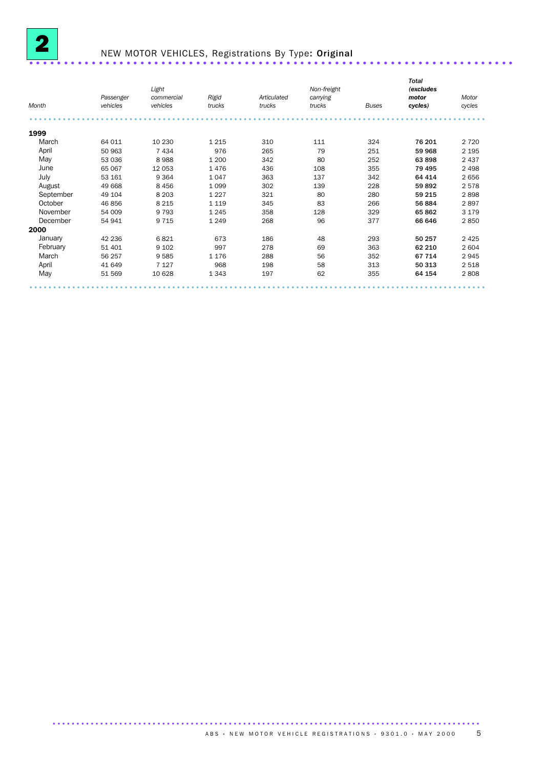

# NEW MOTOR VEHICLES, Registrations By Type: Original ......................................................................

| Month     | Passenger<br>vehicles | Light<br>commercial<br>vehicles | Rigid<br>trucks | Articulated<br>trucks | Non-freight<br>carrying<br>trucks | <b>Buses</b> | <b>Total</b><br>(excludes<br>motor<br>cycles) | Motor<br>cycles |
|-----------|-----------------------|---------------------------------|-----------------|-----------------------|-----------------------------------|--------------|-----------------------------------------------|-----------------|
|           |                       |                                 |                 |                       |                                   |              |                                               |                 |
| 1999      |                       |                                 |                 |                       |                                   |              |                                               |                 |
| March     | 64 011                | 10 230                          | 1 2 1 5         | 310                   | 111                               | 324          | 76 201                                        | 2 7 2 0         |
| April     | 50 963                | 7434                            | 976             | 265                   | 79                                | 251          | 59 968                                        | 2 1 9 5         |
| May       | 53 036                | 8988                            | 1 200           | 342                   | 80                                | 252          | 63 898                                        | 2 4 3 7         |
| June      | 65 067                | 12 053                          | 1476            | 436                   | 108                               | 355          | 79 495                                        | 2 4 9 8         |
| July      | 53 161                | 9 3 6 4                         | 1047            | 363                   | 137                               | 342          | 64 414                                        | 2656            |
| August    | 49 668                | 8 4 5 6                         | 1 0 9 9         | 302                   | 139                               | 228          | 59 892                                        | 2578            |
| September | 49 104                | 8 2 0 3                         | 1 2 2 7         | 321                   | 80                                | 280          | 59 215                                        | 2898            |
| October   | 46 856                | 8 2 1 5                         | 1 1 1 9         | 345                   | 83                                | 266          | 56 884                                        | 2897            |
| November  | 54 009                | 9793                            | 1 2 4 5         | 358                   | 128                               | 329          | 65 862                                        | 3 1 7 9         |
| December  | 54 941                | 9 7 1 5                         | 1 2 4 9         | 268                   | 96                                | 377          | 66 646                                        | 2850            |
| 2000      |                       |                                 |                 |                       |                                   |              |                                               |                 |
| January   | 42 236                | 6821                            | 673             | 186                   | 48                                | 293          | 50 257                                        | 2 4 2 5         |
| February  | 51 401                | 9 1 0 2                         | 997             | 278                   | 69                                | 363          | 62 210                                        | 2 604           |
| March     | 56 257                | 9585                            | 1 1 7 6         | 288                   | 56                                | 352          | 67 714                                        | 2945            |
| April     | 41 649                | 7 1 2 7                         | 968             | 198                   | 58                                | 313          | 50 313                                        | 2518            |
| May       | 51 569                | 10 628                          | 1 3 4 3         | 197                   | 62                                | 355          | 64 154                                        | 2808            |
|           |                       |                                 |                 |                       |                                   |              |                                               |                 |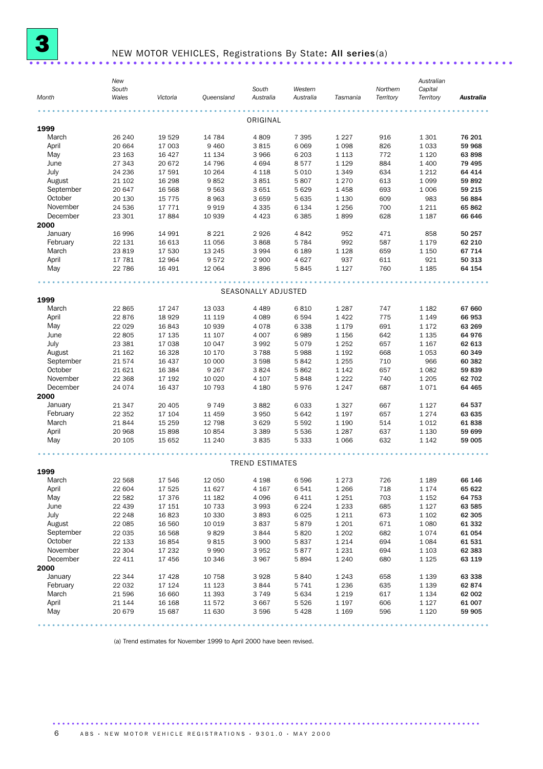

## NEW MOTOR VEHICLES, Registrations By State: All series(a) ......................................................................

| Month     | New<br>South<br>Wales | Victoria        | Queensland   | South<br>Australia     | Western<br>Australia | Tasmania           | Northern<br>Territory | Australian<br>Capital<br>Territory | <b>Australia</b> |
|-----------|-----------------------|-----------------|--------------|------------------------|----------------------|--------------------|-----------------------|------------------------------------|------------------|
|           |                       |                 |              |                        |                      |                    |                       |                                    |                  |
| 1999      |                       |                 |              | ORIGINAL               |                      |                    |                       |                                    |                  |
| March     | 26 240                | 19529           | 14 784       | 4809                   | 7 3 9 5              | 1 2 2 7            | 916                   | 1 3 0 1                            | 76 201           |
| April     | 20 664                | 17 003          | 9 4 6 0      | 3815                   | 6 0 6 9              | 1 0 9 8            | 826                   | 1 0 3 3                            | 59 968           |
| May       | 23 163                | 16 4 27         | 11 134       | 3966                   | 6 2 0 3              | 1 1 1 3            | 772                   | 1 1 2 0                            | 63 898           |
| June      | 27 343                | 20 672          | 14 796       | 4 6 9 4                | 8577                 | 1 1 2 9            | 884                   | 1 400                              | 79 4 95          |
| July      | 24 236                | 17 591          | 10 264       | 4 1 1 8                | 5 0 1 0              | 1 3 4 9            | 634                   | 1 2 1 2                            | 64 414           |
| August    | 21 102                | 16 298          | 9852         | 3851                   | 5807                 | 1 2 7 0            | 613                   | 1 0 9 9                            | 59892            |
| September | 20 647                | 16 5 68         | 9563         | 3651                   | 5 6 2 9              | 1458               | 693                   | 1 0 0 6                            | 59 215           |
| October   | 20 130                | 15 7 7 5        | 8963         | 3659                   | 5 6 3 5              | 1 1 3 0            | 609                   | 983                                | 56 884           |
| November  | 24 536                | 17771           | 9919         | 4 3 3 5                | 6 1 3 4              | 1 2 5 6            | 700                   | 1 2 1 1                            | 65862            |
| December  | 23 301                | 17884           | 10 939       | 4 4 2 3                | 6 3 8 5              | 1899               | 628                   | 1 1 8 7                            | 66 646           |
| 2000      |                       |                 |              |                        |                      |                    |                       |                                    |                  |
| January   | 16 996                | 14 991          | 8 2 2 1      | 2926                   | 4842                 | 952                | 471                   | 858                                | 50 257           |
| February  | 22 131                | 16 613          | 11 056       | 3868                   | 5 7 8 4              | 992                | 587                   | 1 1 7 9                            | 62 210           |
| March     | 23819                 | 17 530          | 13 245       | 3 9 9 4                | 6 1 8 9              | 1 1 2 8            | 659                   | 1 1 5 0                            | 67 714           |
| April     |                       | 12 964          |              |                        | 4 6 27               | 937                | 611                   | 921                                |                  |
|           | 17 781                |                 | 9572         | 2 9 0 0                |                      |                    |                       |                                    | 50 313           |
| May       | 22 786                | 16 491          | 12 064       | 3896                   | 5845                 | 1 1 2 7            | 760                   | 1 1 8 5                            | 64 154           |
|           |                       |                 |              |                        |                      |                    |                       |                                    |                  |
| 1999      |                       |                 |              | SEASONALLY ADJUSTED    |                      |                    |                       |                                    |                  |
| March     | 22 865                | 17 247          | 13 0 33      | 4 4 8 9                | 6810                 | 1 2 8 7            | 747                   | 1 1 8 2                            | 67 660           |
| April     | 22876                 | 18929           | 11 119       | 4 0 8 9                | 6 5 9 4              | 1422               | 775                   | 1 1 4 9                            | 66 953           |
| May       | 22 0 29               | 16843           | 10 939       | 4078                   | 6 3 3 8              | 1 1 7 9            | 691                   | 1 1 7 2                            | 63 269           |
| June      | 22 805                | 17 135          | 11 107       | 4 0 0 7                | 6989                 | 1 1 5 6            | 642                   | 1 1 3 5                            | 64976            |
| July      | 23 381                | 17 038          | 10 047       | 3992                   | 5079                 | 1 2 5 2            | 657                   | 1 1 6 7                            | 62 613           |
| August    | 21 162                | 16 3 28         | 10 170       | 3788                   | 5988                 | 1 1 9 2            | 668                   | 1 0 5 3                            | 60 349           |
| September | 21574                 | 16 437          | 10 000       | 3 5 9 8                | 5842                 | 1 2 5 5            | 710                   | 966                                | 60 382           |
| October   |                       |                 |              |                        |                      |                    |                       |                                    |                  |
| November  | 21 6 21               | 16 3 84         | 9 2 6 7      | 3824                   | 5862                 | 1 1 4 2            | 657                   | 1 0 8 2                            | 59839            |
|           | 22 3 68               | 17 192          | 10 0 20      | 4 107                  | 5848                 | 1 2 2 2            | 740                   | 1 2 0 5                            | 62 702           |
| December  | 24 0 74               | 16 437          | 10 793       | 4 1 8 0                | 5976                 | 1 2 4 7            | 687                   | 1071                               | 64 4 65          |
| 2000      |                       |                 |              |                        |                      |                    |                       |                                    |                  |
| January   | 21 347                | 20 405          | 9 7 4 9      | 3882                   | 6 0 3 3              | 1 3 2 7            | 667                   | 1 1 2 7                            | 64 537           |
| February  | 22 352                | 17 104          | 11 459       | 3 9 5 0                | 5 6 4 2              | 1 1 9 7            | 657                   | 1 2 7 4                            | 63 635           |
| March     | 21844                 | 15 25 9         | 12 798       | 3629                   | 5 5 9 2              | 1 1 9 0            | 514                   | 1 0 1 2                            | 61838            |
| April     | 20 968                | 15898           | 10 854       | 3 3 8 9                | 5 5 3 6              | 1 2 8 7            | 637                   | 1 1 3 0                            | 59 699           |
| May       | 20 105                | 15 652          | 11 240       | 3835                   | 5 3 3 3              | 1 0 6 6            | 632                   | 1 1 4 2                            | 59 005           |
|           |                       |                 |              |                        |                      |                    |                       |                                    |                  |
| 1999      |                       |                 |              | <b>TREND ESTIMATES</b> |                      |                    |                       |                                    |                  |
| March     | 22 5 68               | 17 546          | 12 050       | 4 1 9 8                | 6596                 | 1 2 7 3            | 726                   | 1 1 8 9                            | 66 146           |
| April     | 22 604                | 17 525          | 11 627       | 4 1 6 7                | 6541                 | 1 2 6 6            | 718                   | 1 1 7 4                            | 65 622           |
| May       | 22 582                | 17 376          | 11 182       | 4 0 9 6                | 6411                 | 1 2 5 1            | 703                   | 1 1 5 2                            | 64 753           |
| June      | 22 439                | 17 151          | 10 733       | 3993                   | 6 2 2 4              | 1 2 3 3            | 685                   | 1 1 2 7                            | 63 585           |
| July      | 22 248                | 16823           | 10 330       | 3893                   | 6 0 25               | 1 2 1 1            | 673                   | 1 1 0 2                            | 62 305           |
| August    | 22 085                | 16 560          | 10 019       | 3837                   | 5879                 | 1 2 0 1            | 671                   | 1 0 8 0                            | 61 332           |
| September | 22 035                |                 | 9829         | 3844                   | 5820                 |                    | 682                   |                                    | 61 054           |
| October   |                       | 16 568          |              |                        |                      | 1 2 0 2            |                       | 1074                               |                  |
| November  | 22 133<br>22 304      | 16854<br>17 232 | 9815<br>9990 | 3 9 0 0                | 5837<br>5877         | 1 2 1 4            | 694<br>694            | 1 0 8 4                            | 61 531<br>62 383 |
| December  | 22 411                | 17 456          | 10 346       | 3952<br>3967           | 5894                 | 1 2 3 1<br>1 2 4 0 | 680                   | 1 1 0 3<br>1 1 2 5                 | 63 119           |
| 2000      |                       |                 |              |                        |                      |                    |                       |                                    |                  |
| January   | 22 344                | 17428           | 10 758       | 3928                   | 5840                 | 1 2 4 3            | 658                   | 1 1 3 9                            | 63 338           |
| February  | 22 032                | 17 124          | 11 123       | 3844                   | 5741                 | 1 2 3 6            | 635                   | 1 1 3 9                            | 62 874           |
| March     | 21 596                | 16 660          | 11 393       | 3749                   | 5 6 3 4              | 1 2 1 9            | 617                   | 1 1 3 4                            | 62 002           |
| April     | 21 144                | 16 168          | 11 572       | 3 6 6 7                | 5 5 2 6              | 1 1 9 7            | 606                   | 1 1 2 7                            | 61 007           |
| May       | 20 679                | 15 687          | 11 630       | 3596                   | 5 4 2 8              | 1 1 6 9            | 596                   | 1 1 2 0                            | 59 905           |
|           |                       |                 |              |                        |                      |                    |                       |                                    |                  |

(a) Trend estimates for November 1999 to April 2000 have been revised.

...............................................................................................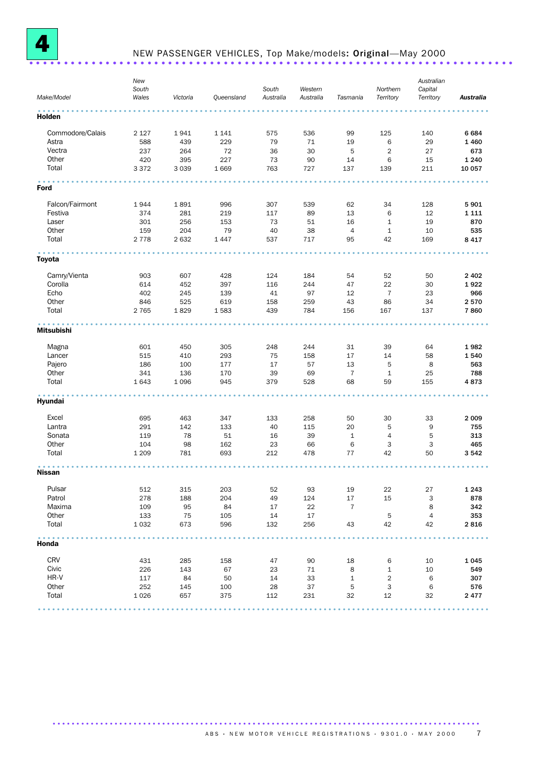

# NEW PASSENGER VEHICLES, Top Make/models: Original—May 2000 ......................................................................

| Make/Model        | New<br>South<br>Wales | Victoria | Queensland | South<br>Australia | Western<br>Australia | Tasmania       | Northern<br>Territory | Australian<br>Capital<br>Territory | Australia |
|-------------------|-----------------------|----------|------------|--------------------|----------------------|----------------|-----------------------|------------------------------------|-----------|
| Holden            |                       |          |            |                    |                      |                |                       |                                    |           |
| Commodore/Calais  | 2 1 2 7               | 1941     | 1 1 4 1    | 575                | 536                  | 99             | 125                   | 140                                | 6684      |
| Astra             | 588                   | 439      | 229        | 79                 | 71                   | 19             | 6                     | 29                                 | 1460      |
| Vectra            | 237                   | 264      | 72         | 36                 | 30                   | 5              | $\overline{2}$        | 27                                 | 673       |
| Other             | 420                   | 395      | 227        | 73                 | 90                   | 14             | 6                     | 15                                 | 1 2 4 0   |
| Total             | 3 3 7 2               | 3 0 3 9  | 1 6 6 9    | 763                | 727                  | 137            | 139                   | 211                                | 10 057    |
| Ford              |                       |          |            |                    |                      |                |                       |                                    |           |
|                   |                       |          |            |                    |                      |                |                       |                                    |           |
| Falcon/Fairmont   | 1944                  | 1891     | 996        | 307                | 539                  | 62             | 34                    | 128                                | 5901      |
| Festiva           | 374                   | 281      | 219        | 117                | 89                   | 13             | 6                     | 12                                 | 1 1 1 1   |
| Laser             | 301                   | 256      | 153        | 73                 | 51                   | 16             | $\mathbf{1}$          | 19                                 | 870       |
| Other             | 159                   | 204      | 79         | 40                 | 38                   | $\overline{4}$ | $\mathbf{1}$          | 10                                 | 535       |
| Total             | 2 7 7 8               | 2 6 3 2  | 1 4 4 7    | 537                | 717                  | 95             | 42                    | 169                                | 8 4 1 7   |
| <b>Toyota</b>     |                       |          |            |                    |                      |                |                       |                                    |           |
| Camry/Vienta      | 903                   | 607      | 428        | 124                | 184                  | 54             | 52                    | 50                                 | 2 4 0 2   |
| Corolla           | 614                   | 452      | 397        | 116                | 244                  | 47             | 22                    | 30                                 | 1922      |
| Echo              |                       |          |            |                    |                      |                |                       |                                    |           |
|                   | 402                   | 245      | 139        | 41                 | 97                   | 12             | $\overline{7}$        | 23                                 | 966       |
| Other             | 846                   | 525      | 619        | 158                | 259                  | 43             | 86                    | 34                                 | 2570      |
| Total             | 2 7 6 5               | 1829     | 1583       | 439                | 784                  | 156            | 167                   | 137                                | 7860      |
| <b>Mitsubishi</b> |                       |          |            |                    |                      |                |                       |                                    |           |
| Magna             | 601                   | 450      | 305        | 248                | 244                  | 31             | 39                    | 64                                 | 1982      |
| Lancer            | 515                   | 410      | 293        | 75                 | 158                  | 17             | 14                    | 58                                 | 1540      |
| Pajero            | 186                   | 100      | 177        | 17                 | 57                   | 13             | 5                     | 8                                  | 563       |
| Other             | 341                   | 136      | 170        | 39                 | 69                   | $\overline{7}$ | $\mathbf{1}$          | 25                                 | 788       |
| Total             | 1643                  | 1 0 9 6  | 945        | 379                | 528                  | 68             | 59                    | 155                                | 4873      |
| Hyundai           |                       |          |            |                    |                      |                |                       |                                    |           |
| Excel             | 695                   | 463      | 347        | 133                | 258                  | 50             | 30                    | 33                                 | 2 0 0 9   |
| Lantra            | 291                   | 142      | 133        | 40                 | 115                  | 20             | 5                     | 9                                  | 755       |
| Sonata            | 119                   | 78       | 51         | 16                 | 39                   | $\mathbf{1}$   | $\overline{4}$        | 5                                  | 313       |
| Other             | 104                   | 98       | 162        | 23                 | 66                   | 6              | 3                     | 3                                  | 465       |
| Total             | 1 2 0 9               | 781      | 693        | 212                | 478                  | 77             | 42                    | 50                                 | 3542      |
| <b>Nissan</b>     |                       |          |            |                    |                      |                |                       |                                    |           |
|                   |                       |          |            |                    |                      |                |                       |                                    |           |
| Pulsar            | 512                   | 315      | 203        | 52                 | 93                   | 19             | 22                    | 27                                 | 1 2 4 3   |
| Patrol            | 278                   | 188      | 204        | 49                 | 124                  | 17             | 15                    | 3                                  | 878       |
| Maxima            | 109                   | 95       | 84         | 17                 | 22                   | $\overline{7}$ |                       | 8                                  | 342       |
| Other             | 133                   | 75       | 105        | 14                 | 17                   |                | 5                     | $\overline{4}$                     | 353       |
| Total             | 1 0 3 2               | 673      | 596        | 132                | 256                  | 43             | 42                    | 42                                 | 2816      |
| Honda             |                       |          |            |                    |                      |                |                       |                                    |           |
| CRV               | 431                   | 285      | 158        | 47                 | 90                   | 18             | 6                     | 10                                 | 1045      |
| Civic             | 226                   | 143      | 67         | 23                 | 71                   | 8              | $\mathbf{1}$          | 10                                 | 549       |
| HR-V              | 117                   | 84       | 50         | 14                 | 33                   | $\mathbf{1}$   | $\overline{2}$        | 6                                  | 307       |
| Other             |                       |          |            |                    |                      |                |                       |                                    |           |
| Total             | 252                   | 145      | 100        | 28                 | 37                   | 5              | 3                     | 6                                  | 576       |
|                   | 1026                  | 657      | 375        | 112                | 231                  | 32             | 12                    | 32                                 | 2477      |
|                   |                       |          |            |                    |                      |                |                       |                                    |           |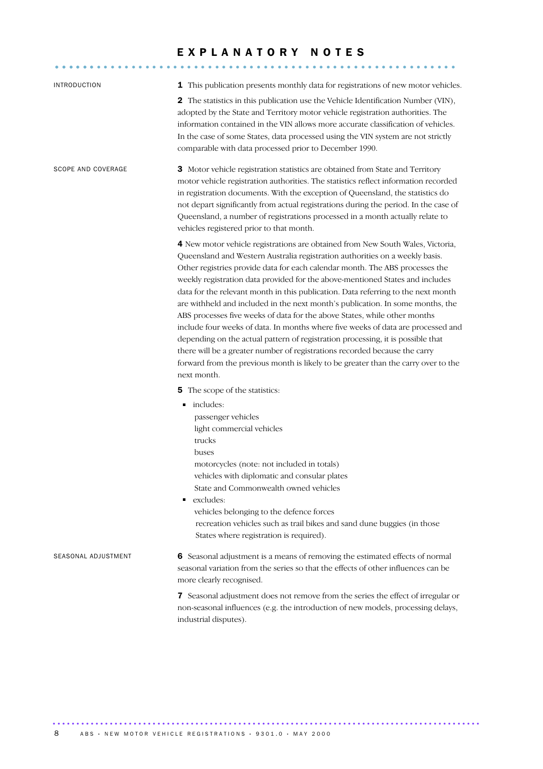### EXPLANATORY NOTES

.......................................................... ......

| <b>INTRODUCTION</b>       | <b>1</b> This publication presents monthly data for registrations of new motor vehicles.                                                                                                                                                                                                                                                                                                                                                                                                                                                                                                                                                                                                                                                                                                                                                                                                                                                      |
|---------------------------|-----------------------------------------------------------------------------------------------------------------------------------------------------------------------------------------------------------------------------------------------------------------------------------------------------------------------------------------------------------------------------------------------------------------------------------------------------------------------------------------------------------------------------------------------------------------------------------------------------------------------------------------------------------------------------------------------------------------------------------------------------------------------------------------------------------------------------------------------------------------------------------------------------------------------------------------------|
|                           | <b>2</b> The statistics in this publication use the Vehicle Identification Number (VIN),<br>adopted by the State and Territory motor vehicle registration authorities. The<br>information contained in the VIN allows more accurate classification of vehicles.<br>In the case of some States, data processed using the VIN system are not strictly<br>comparable with data processed prior to December 1990.                                                                                                                                                                                                                                                                                                                                                                                                                                                                                                                                 |
| <b>SCOPE AND COVERAGE</b> | 3 Motor vehicle registration statistics are obtained from State and Territory<br>motor vehicle registration authorities. The statistics reflect information recorded<br>in registration documents. With the exception of Queensland, the statistics do<br>not depart significantly from actual registrations during the period. In the case of<br>Queensland, a number of registrations processed in a month actually relate to<br>vehicles registered prior to that month.                                                                                                                                                                                                                                                                                                                                                                                                                                                                   |
|                           | 4 New motor vehicle registrations are obtained from New South Wales, Victoria,<br>Queensland and Western Australia registration authorities on a weekly basis.<br>Other registries provide data for each calendar month. The ABS processes the<br>weekly registration data provided for the above-mentioned States and includes<br>data for the relevant month in this publication. Data referring to the next month<br>are withheld and included in the next month's publication. In some months, the<br>ABS processes five weeks of data for the above States, while other months<br>include four weeks of data. In months where five weeks of data are processed and<br>depending on the actual pattern of registration processing, it is possible that<br>there will be a greater number of registrations recorded because the carry<br>forward from the previous month is likely to be greater than the carry over to the<br>next month. |
|                           | <b>5</b> The scope of the statistics:                                                                                                                                                                                                                                                                                                                                                                                                                                                                                                                                                                                                                                                                                                                                                                                                                                                                                                         |
|                           | includes:<br>٠<br>passenger vehicles<br>light commercial vehicles<br>trucks<br>buses<br>motorcycles (note: not included in totals)<br>vehicles with diplomatic and consular plates<br>State and Commonwealth owned vehicles<br>excludes:<br>vehicles belonging to the defence forces<br>recreation vehicles such as trail bikes and sand dune buggies (in those<br>States where registration is required).                                                                                                                                                                                                                                                                                                                                                                                                                                                                                                                                    |
| SEASONAL ADJUSTMENT       | 6 Seasonal adjustment is a means of removing the estimated effects of normal<br>seasonal variation from the series so that the effects of other influences can be<br>more clearly recognised.                                                                                                                                                                                                                                                                                                                                                                                                                                                                                                                                                                                                                                                                                                                                                 |
|                           | 7 Seasonal adjustment does not remove from the series the effect of irregular or<br>non-seasonal influences (e.g. the introduction of new models, processing delays,<br>industrial disputes).                                                                                                                                                                                                                                                                                                                                                                                                                                                                                                                                                                                                                                                                                                                                                 |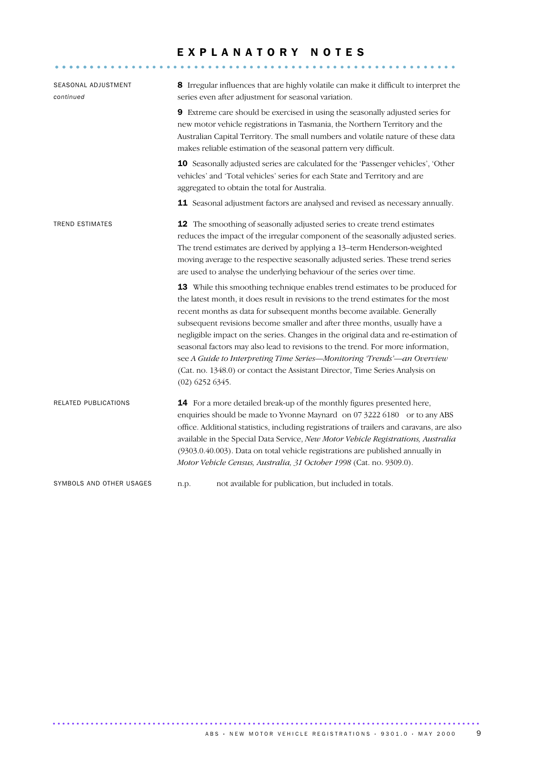### EXPLANATORY NOTES

.......................................................... ......

| SEASONAL ADJUSTMENT<br>continued |                   | 8 Irregular influences that are highly volatile can make it difficult to interpret the<br>series even after adjustment for seasonal variation.                                                                                                                                                                                                                                                                                                                                                                                                                                                                                                                 |
|----------------------------------|-------------------|----------------------------------------------------------------------------------------------------------------------------------------------------------------------------------------------------------------------------------------------------------------------------------------------------------------------------------------------------------------------------------------------------------------------------------------------------------------------------------------------------------------------------------------------------------------------------------------------------------------------------------------------------------------|
|                                  |                   | 9 Extreme care should be exercised in using the seasonally adjusted series for<br>new motor vehicle registrations in Tasmania, the Northern Territory and the<br>Australian Capital Territory. The small numbers and volatile nature of these data<br>makes reliable estimation of the seasonal pattern very difficult.                                                                                                                                                                                                                                                                                                                                        |
|                                  |                   | 10 Seasonally adjusted series are calculated for the 'Passenger vehicles', 'Other<br>vehicles' and 'Total vehicles' series for each State and Territory and are<br>aggregated to obtain the total for Australia.                                                                                                                                                                                                                                                                                                                                                                                                                                               |
|                                  |                   | 11 Seasonal adjustment factors are analysed and revised as necessary annually.                                                                                                                                                                                                                                                                                                                                                                                                                                                                                                                                                                                 |
| <b>TREND ESTIMATES</b>           |                   | 12 The smoothing of seasonally adjusted series to create trend estimates<br>reduces the impact of the irregular component of the seasonally adjusted series.<br>The trend estimates are derived by applying a 13-term Henderson-weighted<br>moving average to the respective seasonally adjusted series. These trend series<br>are used to analyse the underlying behaviour of the series over time.                                                                                                                                                                                                                                                           |
|                                  | $(02)$ 6252 6345. | 13 While this smoothing technique enables trend estimates to be produced for<br>the latest month, it does result in revisions to the trend estimates for the most<br>recent months as data for subsequent months become available. Generally<br>subsequent revisions become smaller and after three months, usually have a<br>negligible impact on the series. Changes in the original data and re-estimation of<br>seasonal factors may also lead to revisions to the trend. For more information,<br>see A Guide to Interpreting Time Series-Monitoring 'Trends'-an Overview<br>(Cat. no. 1348.0) or contact the Assistant Director, Time Series Analysis on |
| RELATED PUBLICATIONS             |                   | 14 For a more detailed break-up of the monthly figures presented here,<br>enquiries should be made to Yvonne Maynard on 07 3222 6180 or to any ABS<br>office. Additional statistics, including registrations of trailers and caravans, are also<br>available in the Special Data Service, New Motor Vehicle Registrations, Australia<br>(9303.0.40.003). Data on total vehicle registrations are published annually in<br>Motor Vehicle Census, Australia, 31 October 1998 (Cat. no. 9309.0).                                                                                                                                                                  |
| SYMBOLS AND OTHER USAGES         | n.p.              | not available for publication, but included in totals.                                                                                                                                                                                                                                                                                                                                                                                                                                                                                                                                                                                                         |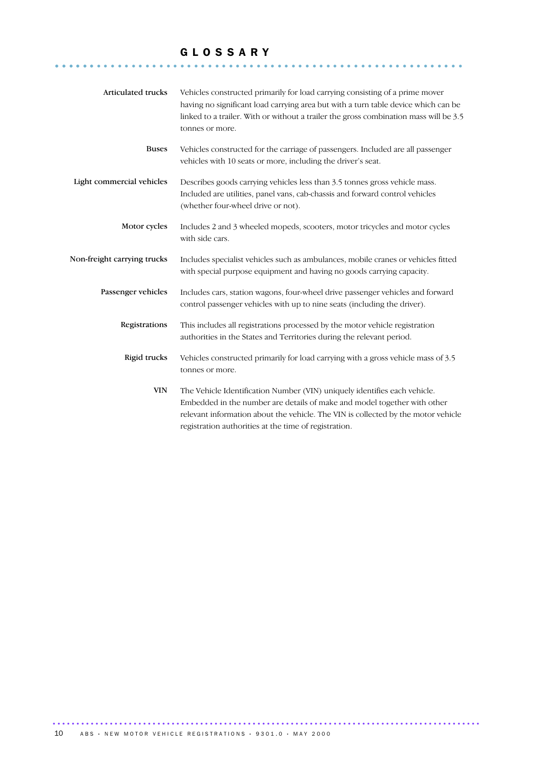### G L O S S A R Y

........................................................... ......

| Articulated trucks          | Vehicles constructed primarily for load carrying consisting of a prime mover<br>having no significant load carrying area but with a turn table device which can be<br>linked to a trailer. With or without a trailer the gross combination mass will be 3.5<br>tonnes or more.                      |
|-----------------------------|-----------------------------------------------------------------------------------------------------------------------------------------------------------------------------------------------------------------------------------------------------------------------------------------------------|
| <b>Buses</b>                | Vehicles constructed for the carriage of passengers. Included are all passenger<br>vehicles with 10 seats or more, including the driver's seat.                                                                                                                                                     |
| Light commercial vehicles   | Describes goods carrying vehicles less than 3.5 tonnes gross vehicle mass.<br>Included are utilities, panel vans, cab-chassis and forward control vehicles<br>(whether four-wheel drive or not).                                                                                                    |
| Motor cycles                | Includes 2 and 3 wheeled mopeds, scooters, motor tricycles and motor cycles<br>with side cars.                                                                                                                                                                                                      |
| Non-freight carrying trucks | Includes specialist vehicles such as ambulances, mobile cranes or vehicles fitted<br>with special purpose equipment and having no goods carrying capacity.                                                                                                                                          |
| Passenger vehicles          | Includes cars, station wagons, four-wheel drive passenger vehicles and forward<br>control passenger vehicles with up to nine seats (including the driver).                                                                                                                                          |
| Registrations               | This includes all registrations processed by the motor vehicle registration<br>authorities in the States and Territories during the relevant period.                                                                                                                                                |
| Rigid trucks                | Vehicles constructed primarily for load carrying with a gross vehicle mass of 3.5<br>tonnes or more.                                                                                                                                                                                                |
| <b>VIN</b>                  | The Vehicle Identification Number (VIN) uniquely identifies each vehicle.<br>Embedded in the number are details of make and model together with other<br>relevant information about the vehicle. The VIN is collected by the motor vehicle<br>registration authorities at the time of registration. |